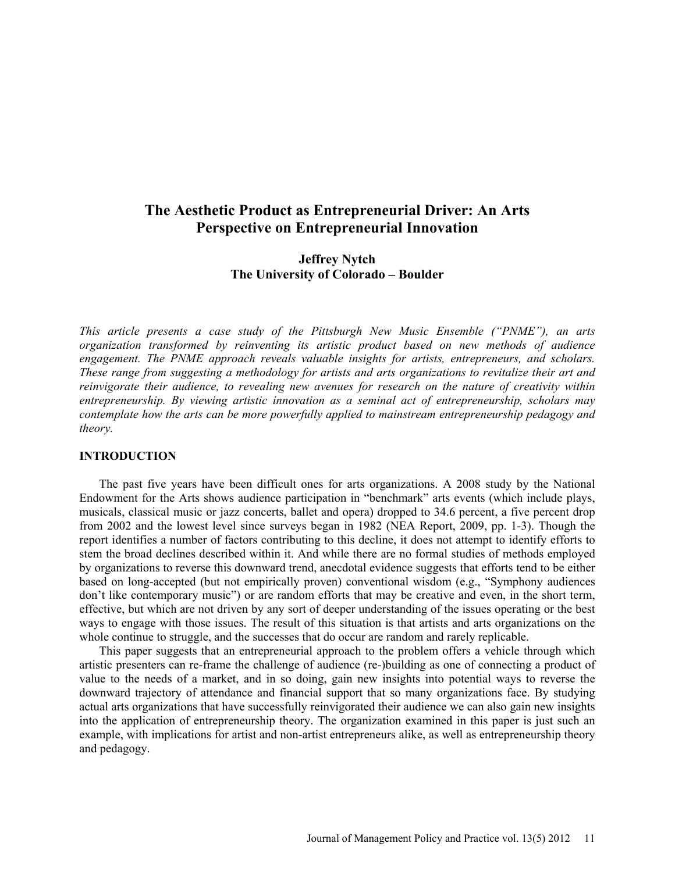# **The Aesthetic Product as Entrepreneurial Driver: An Arts Perspective on Entrepreneurial Innovation**

# **Jeffrey Nytch The University of Colorado – Boulder**

*This article presents a case study of the Pittsburgh New Music Ensemble ("PNME"), an arts organization transformed by reinventing its artistic product based on new methods of audience engagement. The PNME approach reveals valuable insights for artists, entrepreneurs, and scholars. These range from suggesting a methodology for artists and arts organizations to revitalize their art and reinvigorate their audience, to revealing new avenues for research on the nature of creativity within entrepreneurship. By viewing artistic innovation as a seminal act of entrepreneurship, scholars may contemplate how the arts can be more powerfully applied to mainstream entrepreneurship pedagogy and theory.* 

#### **INTRODUCTION**

The past five years have been difficult ones for arts organizations. A 2008 study by the National Endowment for the Arts shows audience participation in "benchmark" arts events (which include plays, musicals, classical music or jazz concerts, ballet and opera) dropped to 34.6 percent, a five percent drop from 2002 and the lowest level since surveys began in 1982 (NEA Report, 2009, pp. 1-3). Though the report identifies a number of factors contributing to this decline, it does not attempt to identify efforts to stem the broad declines described within it. And while there are no formal studies of methods employed by organizations to reverse this downward trend, anecdotal evidence suggests that efforts tend to be either based on long-accepted (but not empirically proven) conventional wisdom (e.g., "Symphony audiences don't like contemporary music") or are random efforts that may be creative and even, in the short term, effective, but which are not driven by any sort of deeper understanding of the issues operating or the best ways to engage with those issues. The result of this situation is that artists and arts organizations on the whole continue to struggle, and the successes that do occur are random and rarely replicable.

This paper suggests that an entrepreneurial approach to the problem offers a vehicle through which artistic presenters can re-frame the challenge of audience (re-)building as one of connecting a product of value to the needs of a market, and in so doing, gain new insights into potential ways to reverse the downward trajectory of attendance and financial support that so many organizations face. By studying actual arts organizations that have successfully reinvigorated their audience we can also gain new insights into the application of entrepreneurship theory. The organization examined in this paper is just such an example, with implications for artist and non-artist entrepreneurs alike, as well as entrepreneurship theory and pedagogy.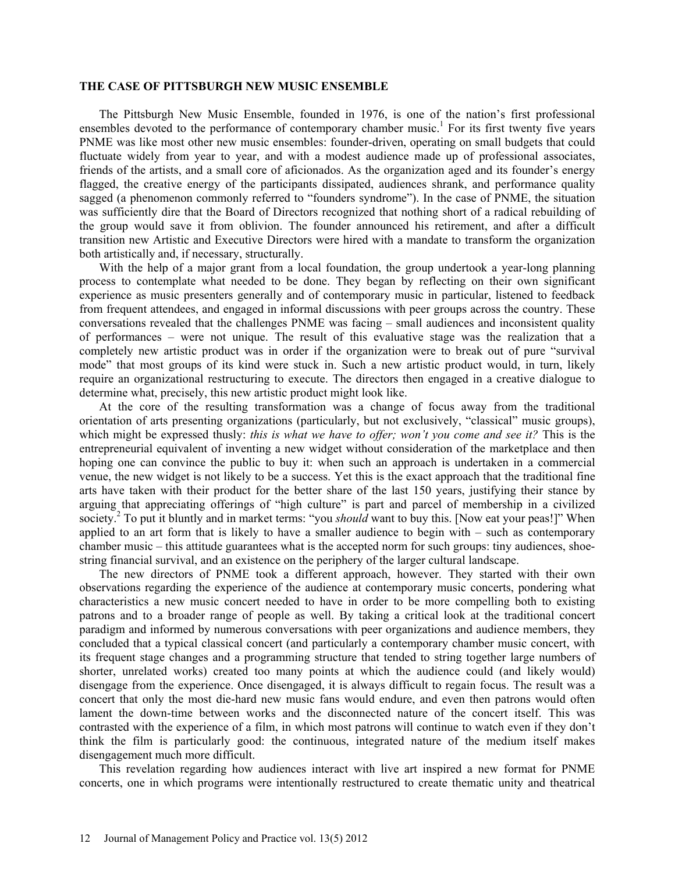## **THE CASE OF PITTSBURGH NEW MUSIC ENSEMBLE**

The Pittsburgh New Music Ensemble, founded in 1976, is one of the nation's first professional ensembles devoted to the performance of contemporary chamber music.<sup>1</sup> For its first twenty five years PNME was like most other new music ensembles: founder-driven, operating on small budgets that could fluctuate widely from year to year, and with a modest audience made up of professional associates, friends of the artists, and a small core of aficionados. As the organization aged and its founder's energy flagged, the creative energy of the participants dissipated, audiences shrank, and performance quality sagged (a phenomenon commonly referred to "founders syndrome"). In the case of PNME, the situation was sufficiently dire that the Board of Directors recognized that nothing short of a radical rebuilding of the group would save it from oblivion. The founder announced his retirement, and after a difficult transition new Artistic and Executive Directors were hired with a mandate to transform the organization both artistically and, if necessary, structurally.

With the help of a major grant from a local foundation, the group undertook a year-long planning process to contemplate what needed to be done. They began by reflecting on their own significant experience as music presenters generally and of contemporary music in particular, listened to feedback from frequent attendees, and engaged in informal discussions with peer groups across the country. These conversations revealed that the challenges PNME was facing – small audiences and inconsistent quality of performances – were not unique. The result of this evaluative stage was the realization that a completely new artistic product was in order if the organization were to break out of pure "survival mode" that most groups of its kind were stuck in. Such a new artistic product would, in turn, likely require an organizational restructuring to execute. The directors then engaged in a creative dialogue to determine what, precisely, this new artistic product might look like.

At the core of the resulting transformation was a change of focus away from the traditional orientation of arts presenting organizations (particularly, but not exclusively, "classical" music groups), which might be expressed thusly: *this is what we have to offer; won't you come and see it?* This is the entrepreneurial equivalent of inventing a new widget without consideration of the marketplace and then hoping one can convince the public to buy it: when such an approach is undertaken in a commercial venue, the new widget is not likely to be a success. Yet this is the exact approach that the traditional fine arts have taken with their product for the better share of the last 150 years, justifying their stance by arguing that appreciating offerings of "high culture" is part and parcel of membership in a civilized society.<sup>2</sup> To put it bluntly and in market terms: "you *should* want to buy this. [Now eat your peas!]" When applied to an art form that is likely to have a smaller audience to begin with – such as contemporary chamber music – this attitude guarantees what is the accepted norm for such groups: tiny audiences, shoestring financial survival, and an existence on the periphery of the larger cultural landscape.

The new directors of PNME took a different approach, however. They started with their own observations regarding the experience of the audience at contemporary music concerts, pondering what characteristics a new music concert needed to have in order to be more compelling both to existing patrons and to a broader range of people as well. By taking a critical look at the traditional concert paradigm and informed by numerous conversations with peer organizations and audience members, they concluded that a typical classical concert (and particularly a contemporary chamber music concert, with its frequent stage changes and a programming structure that tended to string together large numbers of shorter, unrelated works) created too many points at which the audience could (and likely would) disengage from the experience. Once disengaged, it is always difficult to regain focus. The result was a concert that only the most die-hard new music fans would endure, and even then patrons would often lament the down-time between works and the disconnected nature of the concert itself. This was contrasted with the experience of a film, in which most patrons will continue to watch even if they don't think the film is particularly good: the continuous, integrated nature of the medium itself makes disengagement much more difficult.

This revelation regarding how audiences interact with live art inspired a new format for PNME concerts, one in which programs were intentionally restructured to create thematic unity and theatrical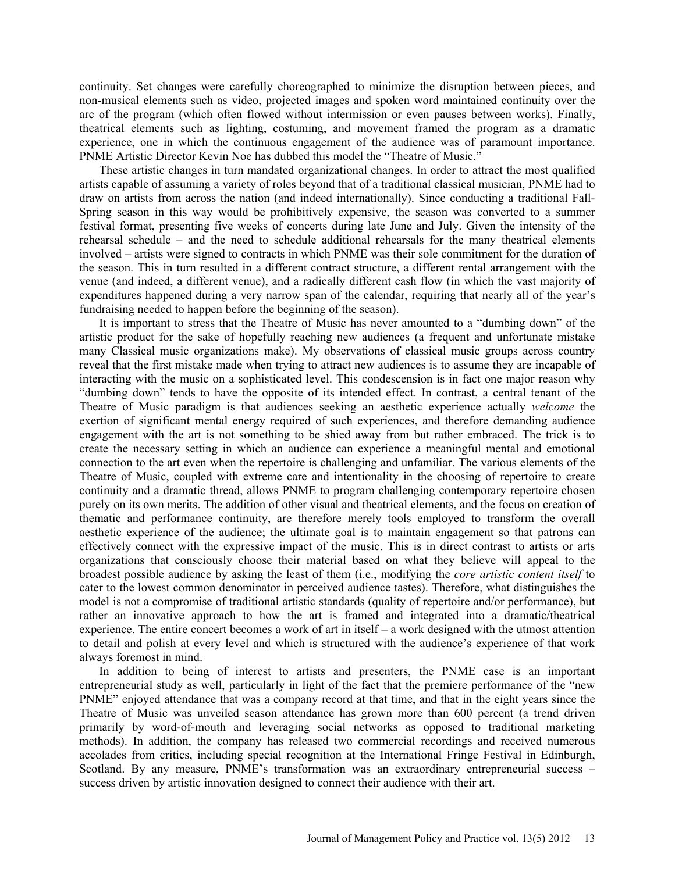continuity. Set changes were carefully choreographed to minimize the disruption between pieces, and non-musical elements such as video, projected images and spoken word maintained continuity over the arc of the program (which often flowed without intermission or even pauses between works). Finally, theatrical elements such as lighting, costuming, and movement framed the program as a dramatic experience, one in which the continuous engagement of the audience was of paramount importance. PNME Artistic Director Kevin Noe has dubbed this model the "Theatre of Music."

These artistic changes in turn mandated organizational changes. In order to attract the most qualified artists capable of assuming a variety of roles beyond that of a traditional classical musician, PNME had to draw on artists from across the nation (and indeed internationally). Since conducting a traditional Fall-Spring season in this way would be prohibitively expensive, the season was converted to a summer festival format, presenting five weeks of concerts during late June and July. Given the intensity of the rehearsal schedule – and the need to schedule additional rehearsals for the many theatrical elements involved – artists were signed to contracts in which PNME was their sole commitment for the duration of the season. This in turn resulted in a different contract structure, a different rental arrangement with the venue (and indeed, a different venue), and a radically different cash flow (in which the vast majority of expenditures happened during a very narrow span of the calendar, requiring that nearly all of the year's fundraising needed to happen before the beginning of the season).

It is important to stress that the Theatre of Music has never amounted to a "dumbing down" of the artistic product for the sake of hopefully reaching new audiences (a frequent and unfortunate mistake many Classical music organizations make). My observations of classical music groups across country reveal that the first mistake made when trying to attract new audiences is to assume they are incapable of interacting with the music on a sophisticated level. This condescension is in fact one major reason why "dumbing down" tends to have the opposite of its intended effect. In contrast, a central tenant of the Theatre of Music paradigm is that audiences seeking an aesthetic experience actually *welcome* the exertion of significant mental energy required of such experiences, and therefore demanding audience engagement with the art is not something to be shied away from but rather embraced. The trick is to create the necessary setting in which an audience can experience a meaningful mental and emotional connection to the art even when the repertoire is challenging and unfamiliar. The various elements of the Theatre of Music, coupled with extreme care and intentionality in the choosing of repertoire to create continuity and a dramatic thread, allows PNME to program challenging contemporary repertoire chosen purely on its own merits. The addition of other visual and theatrical elements, and the focus on creation of thematic and performance continuity, are therefore merely tools employed to transform the overall aesthetic experience of the audience; the ultimate goal is to maintain engagement so that patrons can effectively connect with the expressive impact of the music. This is in direct contrast to artists or arts organizations that consciously choose their material based on what they believe will appeal to the broadest possible audience by asking the least of them (i.e., modifying the *core artistic content itself* to cater to the lowest common denominator in perceived audience tastes). Therefore, what distinguishes the model is not a compromise of traditional artistic standards (quality of repertoire and/or performance), but rather an innovative approach to how the art is framed and integrated into a dramatic/theatrical experience. The entire concert becomes a work of art in itself – a work designed with the utmost attention to detail and polish at every level and which is structured with the audience's experience of that work always foremost in mind.

In addition to being of interest to artists and presenters, the PNME case is an important entrepreneurial study as well, particularly in light of the fact that the premiere performance of the "new PNME" enjoyed attendance that was a company record at that time, and that in the eight years since the Theatre of Music was unveiled season attendance has grown more than 600 percent (a trend driven primarily by word-of-mouth and leveraging social networks as opposed to traditional marketing methods). In addition, the company has released two commercial recordings and received numerous accolades from critics, including special recognition at the International Fringe Festival in Edinburgh, Scotland. By any measure, PNME's transformation was an extraordinary entrepreneurial success – success driven by artistic innovation designed to connect their audience with their art.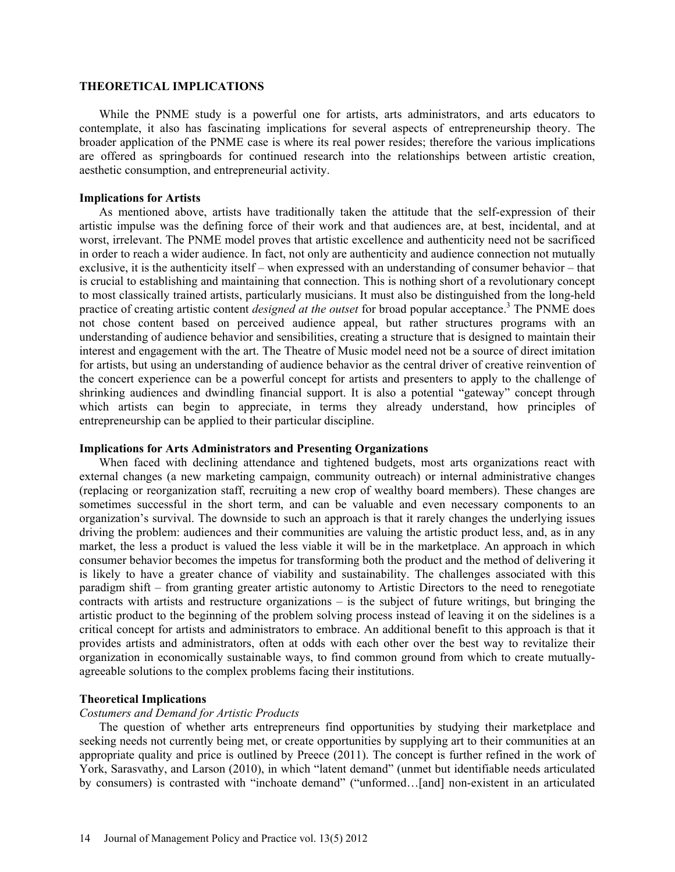## **THEORETICAL IMPLICATIONS**

While the PNME study is a powerful one for artists, arts administrators, and arts educators to contemplate, it also has fascinating implications for several aspects of entrepreneurship theory. The broader application of the PNME case is where its real power resides; therefore the various implications are offered as springboards for continued research into the relationships between artistic creation, aesthetic consumption, and entrepreneurial activity.

#### **Implications for Artists**

As mentioned above, artists have traditionally taken the attitude that the self-expression of their artistic impulse was the defining force of their work and that audiences are, at best, incidental, and at worst, irrelevant. The PNME model proves that artistic excellence and authenticity need not be sacrificed in order to reach a wider audience. In fact, not only are authenticity and audience connection not mutually exclusive, it is the authenticity itself – when expressed with an understanding of consumer behavior – that is crucial to establishing and maintaining that connection. This is nothing short of a revolutionary concept to most classically trained artists, particularly musicians. It must also be distinguished from the long-held practice of creating artistic content *designed at the outset* for broad popular acceptance.<sup>3</sup> The PNME does not chose content based on perceived audience appeal, but rather structures programs with an understanding of audience behavior and sensibilities, creating a structure that is designed to maintain their interest and engagement with the art. The Theatre of Music model need not be a source of direct imitation for artists, but using an understanding of audience behavior as the central driver of creative reinvention of the concert experience can be a powerful concept for artists and presenters to apply to the challenge of shrinking audiences and dwindling financial support. It is also a potential "gateway" concept through which artists can begin to appreciate, in terms they already understand, how principles of entrepreneurship can be applied to their particular discipline.

## **Implications for Arts Administrators and Presenting Organizations**

When faced with declining attendance and tightened budgets, most arts organizations react with external changes (a new marketing campaign, community outreach) or internal administrative changes (replacing or reorganization staff, recruiting a new crop of wealthy board members). These changes are sometimes successful in the short term, and can be valuable and even necessary components to an organization's survival. The downside to such an approach is that it rarely changes the underlying issues driving the problem: audiences and their communities are valuing the artistic product less, and, as in any market, the less a product is valued the less viable it will be in the marketplace. An approach in which consumer behavior becomes the impetus for transforming both the product and the method of delivering it is likely to have a greater chance of viability and sustainability. The challenges associated with this paradigm shift – from granting greater artistic autonomy to Artistic Directors to the need to renegotiate contracts with artists and restructure organizations – is the subject of future writings, but bringing the artistic product to the beginning of the problem solving process instead of leaving it on the sidelines is a critical concept for artists and administrators to embrace. An additional benefit to this approach is that it provides artists and administrators, often at odds with each other over the best way to revitalize their organization in economically sustainable ways, to find common ground from which to create mutuallyagreeable solutions to the complex problems facing their institutions.

## **Theoretical Implications**

#### *Costumers and Demand for Artistic Products*

The question of whether arts entrepreneurs find opportunities by studying their marketplace and seeking needs not currently being met, or create opportunities by supplying art to their communities at an appropriate quality and price is outlined by Preece (2011). The concept is further refined in the work of York, Sarasvathy, and Larson (2010), in which "latent demand" (unmet but identifiable needs articulated by consumers) is contrasted with "inchoate demand" ("unformed…[and] non-existent in an articulated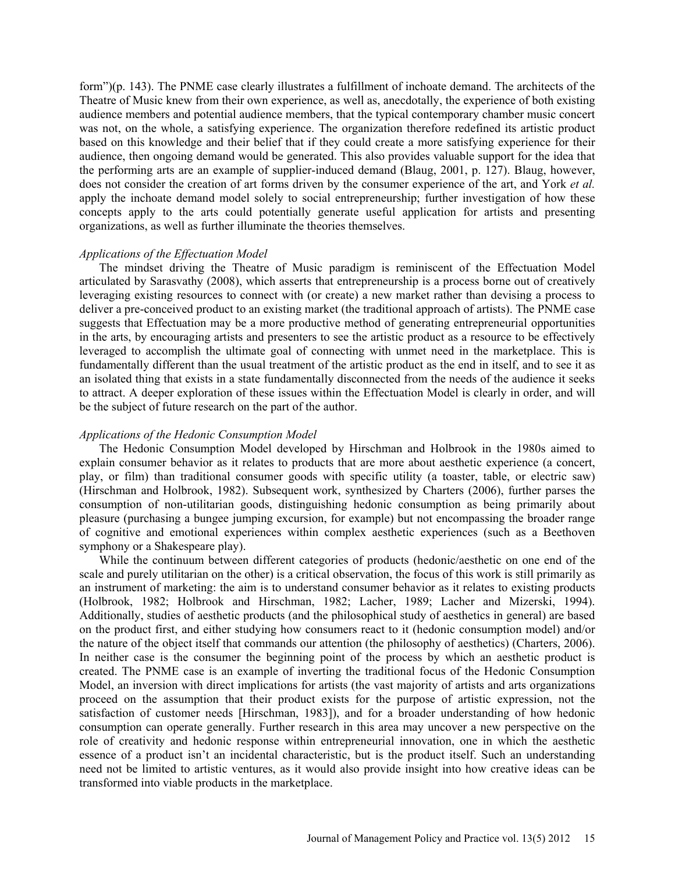form")(p. 143). The PNME case clearly illustrates a fulfillment of inchoate demand. The architects of the Theatre of Music knew from their own experience, as well as, anecdotally, the experience of both existing audience members and potential audience members, that the typical contemporary chamber music concert was not, on the whole, a satisfying experience. The organization therefore redefined its artistic product based on this knowledge and their belief that if they could create a more satisfying experience for their audience, then ongoing demand would be generated. This also provides valuable support for the idea that the performing arts are an example of supplier-induced demand (Blaug, 2001, p. 127). Blaug, however, does not consider the creation of art forms driven by the consumer experience of the art, and York *et al.* apply the inchoate demand model solely to social entrepreneurship; further investigation of how these concepts apply to the arts could potentially generate useful application for artists and presenting organizations, as well as further illuminate the theories themselves.

## *Applications of the Effectuation Model*

The mindset driving the Theatre of Music paradigm is reminiscent of the Effectuation Model articulated by Sarasvathy (2008), which asserts that entrepreneurship is a process borne out of creatively leveraging existing resources to connect with (or create) a new market rather than devising a process to deliver a pre-conceived product to an existing market (the traditional approach of artists). The PNME case suggests that Effectuation may be a more productive method of generating entrepreneurial opportunities in the arts, by encouraging artists and presenters to see the artistic product as a resource to be effectively leveraged to accomplish the ultimate goal of connecting with unmet need in the marketplace. This is fundamentally different than the usual treatment of the artistic product as the end in itself, and to see it as an isolated thing that exists in a state fundamentally disconnected from the needs of the audience it seeks to attract. A deeper exploration of these issues within the Effectuation Model is clearly in order, and will be the subject of future research on the part of the author.

## *Applications of the Hedonic Consumption Model*

The Hedonic Consumption Model developed by Hirschman and Holbrook in the 1980s aimed to explain consumer behavior as it relates to products that are more about aesthetic experience (a concert, play, or film) than traditional consumer goods with specific utility (a toaster, table, or electric saw) (Hirschman and Holbrook, 1982). Subsequent work, synthesized by Charters (2006), further parses the consumption of non-utilitarian goods, distinguishing hedonic consumption as being primarily about pleasure (purchasing a bungee jumping excursion, for example) but not encompassing the broader range of cognitive and emotional experiences within complex aesthetic experiences (such as a Beethoven symphony or a Shakespeare play).

While the continuum between different categories of products (hedonic/aesthetic on one end of the scale and purely utilitarian on the other) is a critical observation, the focus of this work is still primarily as an instrument of marketing: the aim is to understand consumer behavior as it relates to existing products (Holbrook, 1982; Holbrook and Hirschman, 1982; Lacher, 1989; Lacher and Mizerski, 1994). Additionally, studies of aesthetic products (and the philosophical study of aesthetics in general) are based on the product first, and either studying how consumers react to it (hedonic consumption model) and/or the nature of the object itself that commands our attention (the philosophy of aesthetics) (Charters, 2006). In neither case is the consumer the beginning point of the process by which an aesthetic product is created. The PNME case is an example of inverting the traditional focus of the Hedonic Consumption Model, an inversion with direct implications for artists (the vast majority of artists and arts organizations proceed on the assumption that their product exists for the purpose of artistic expression, not the satisfaction of customer needs [Hirschman, 1983]), and for a broader understanding of how hedonic consumption can operate generally. Further research in this area may uncover a new perspective on the role of creativity and hedonic response within entrepreneurial innovation, one in which the aesthetic essence of a product isn't an incidental characteristic, but is the product itself. Such an understanding need not be limited to artistic ventures, as it would also provide insight into how creative ideas can be transformed into viable products in the marketplace.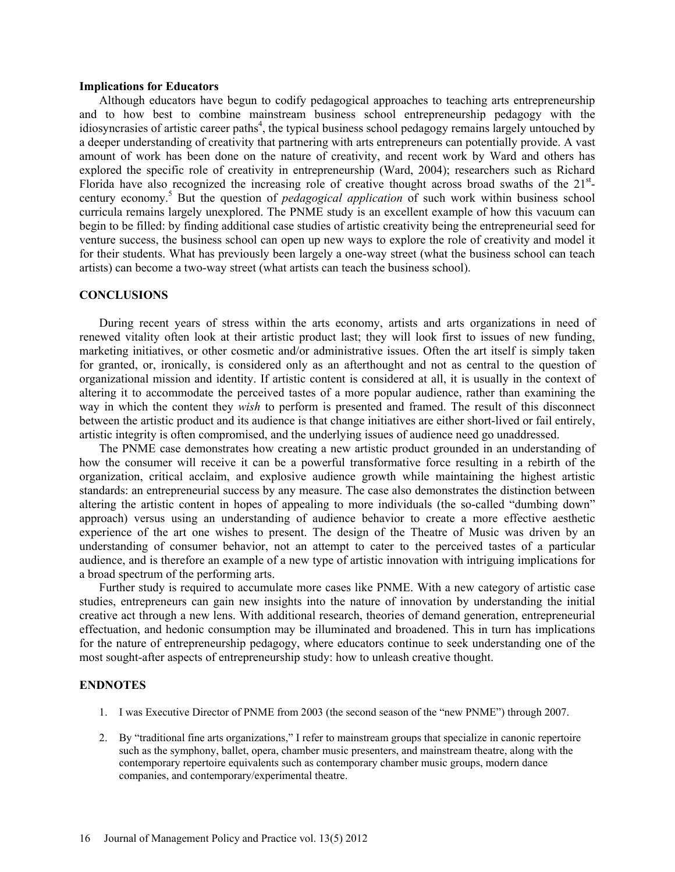## **Implications for Educators**

Although educators have begun to codify pedagogical approaches to teaching arts entrepreneurship and to how best to combine mainstream business school entrepreneurship pedagogy with the idiosyncrasies of artistic career paths<sup>4</sup>, the typical business school pedagogy remains largely untouched by a deeper understanding of creativity that partnering with arts entrepreneurs can potentially provide. A vast amount of work has been done on the nature of creativity, and recent work by Ward and others has explored the specific role of creativity in entrepreneurship (Ward, 2004); researchers such as Richard Florida have also recognized the increasing role of creative thought across broad swaths of the 21<sup>st</sup>century economy.<sup>5</sup> But the question of *pedagogical application* of such work within business school curricula remains largely unexplored. The PNME study is an excellent example of how this vacuum can begin to be filled: by finding additional case studies of artistic creativity being the entrepreneurial seed for venture success, the business school can open up new ways to explore the role of creativity and model it for their students. What has previously been largely a one-way street (what the business school can teach artists) can become a two-way street (what artists can teach the business school).

#### **CONCLUSIONS**

During recent years of stress within the arts economy, artists and arts organizations in need of renewed vitality often look at their artistic product last; they will look first to issues of new funding, marketing initiatives, or other cosmetic and/or administrative issues. Often the art itself is simply taken for granted, or, ironically, is considered only as an afterthought and not as central to the question of organizational mission and identity. If artistic content is considered at all, it is usually in the context of altering it to accommodate the perceived tastes of a more popular audience, rather than examining the way in which the content they *wish* to perform is presented and framed. The result of this disconnect between the artistic product and its audience is that change initiatives are either short-lived or fail entirely, artistic integrity is often compromised, and the underlying issues of audience need go unaddressed.

The PNME case demonstrates how creating a new artistic product grounded in an understanding of how the consumer will receive it can be a powerful transformative force resulting in a rebirth of the organization, critical acclaim, and explosive audience growth while maintaining the highest artistic standards: an entrepreneurial success by any measure. The case also demonstrates the distinction between altering the artistic content in hopes of appealing to more individuals (the so-called "dumbing down" approach) versus using an understanding of audience behavior to create a more effective aesthetic experience of the art one wishes to present. The design of the Theatre of Music was driven by an understanding of consumer behavior, not an attempt to cater to the perceived tastes of a particular audience, and is therefore an example of a new type of artistic innovation with intriguing implications for a broad spectrum of the performing arts.

Further study is required to accumulate more cases like PNME. With a new category of artistic case studies, entrepreneurs can gain new insights into the nature of innovation by understanding the initial creative act through a new lens. With additional research, theories of demand generation, entrepreneurial effectuation, and hedonic consumption may be illuminated and broadened. This in turn has implications for the nature of entrepreneurship pedagogy, where educators continue to seek understanding one of the most sought-after aspects of entrepreneurship study: how to unleash creative thought.

# **ENDNOTES**

- 1. I was Executive Director of PNME from 2003 (the second season of the "new PNME") through 2007.
- 2. By "traditional fine arts organizations," I refer to mainstream groups that specialize in canonic repertoire such as the symphony, ballet, opera, chamber music presenters, and mainstream theatre, along with the contemporary repertoire equivalents such as contemporary chamber music groups, modern dance companies, and contemporary/experimental theatre.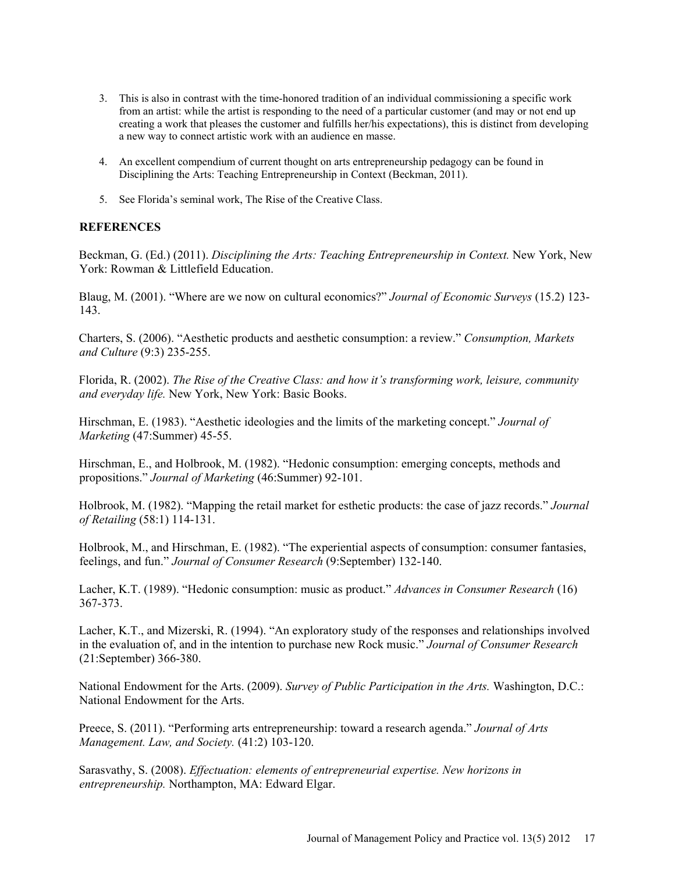- 3. This is also in contrast with the time-honored tradition of an individual commissioning a specific work from an artist: while the artist is responding to the need of a particular customer (and may or not end up creating a work that pleases the customer and fulfills her/his expectations), this is distinct from developing a new way to connect artistic work with an audience en masse.
- 4. An excellent compendium of current thought on arts entrepreneurship pedagogy can be found in Disciplining the Arts: Teaching Entrepreneurship in Context (Beckman, 2011).
- 5. See Florida's seminal work, The Rise of the Creative Class.

# **REFERENCES**

Beckman, G. (Ed.) (2011). *Disciplining the Arts: Teaching Entrepreneurship in Context.* New York, New York: Rowman & Littlefield Education.

Blaug, M. (2001). "Where are we now on cultural economics?" *Journal of Economic Surveys* (15.2) 123- 143.

Charters, S. (2006). "Aesthetic products and aesthetic consumption: a review." *Consumption, Markets and Culture* (9:3) 235-255.

Florida, R. (2002). *The Rise of the Creative Class: and how it's transforming work, leisure, community and everyday life.* New York, New York: Basic Books.

Hirschman, E. (1983). "Aesthetic ideologies and the limits of the marketing concept." *Journal of Marketing* (47:Summer) 45-55.

Hirschman, E., and Holbrook, M. (1982). "Hedonic consumption: emerging concepts, methods and propositions." *Journal of Marketing* (46:Summer) 92-101.

Holbrook, M. (1982). "Mapping the retail market for esthetic products: the case of jazz records." *Journal of Retailing* (58:1) 114-131.

Holbrook, M., and Hirschman, E. (1982). "The experiential aspects of consumption: consumer fantasies, feelings, and fun." *Journal of Consumer Research* (9:September) 132-140.

Lacher, K.T. (1989). "Hedonic consumption: music as product." *Advances in Consumer Research* (16) 367-373.

Lacher, K.T., and Mizerski, R. (1994). "An exploratory study of the responses and relationships involved in the evaluation of, and in the intention to purchase new Rock music." *Journal of Consumer Research*  (21:September) 366-380.

National Endowment for the Arts. (2009). *Survey of Public Participation in the Arts.* Washington, D.C.: National Endowment for the Arts.

Preece, S. (2011). "Performing arts entrepreneurship: toward a research agenda." *Journal of Arts Management. Law, and Society.* (41:2) 103-120.

Sarasvathy, S. (2008). *Effectuation: elements of entrepreneurial expertise. New horizons in entrepreneurship.* Northampton, MA: Edward Elgar.